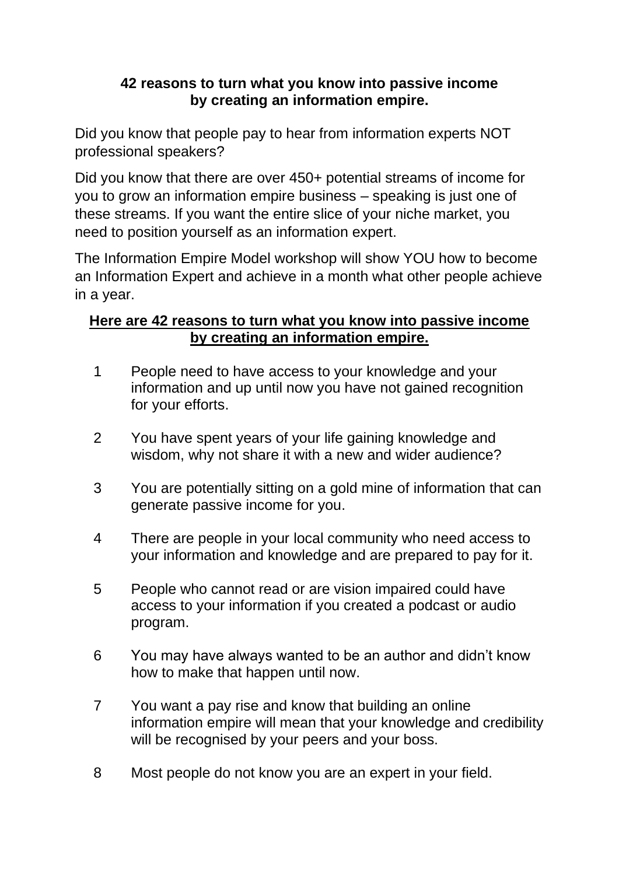## **42 reasons to turn what you know into passive income by creating an information empire.**

Did you know that people pay to hear from information experts NOT professional speakers?

Did you know that there are over 450+ potential streams of income for you to grow an information empire business – speaking is just one of these streams. If you want the entire slice of your niche market, you need to position yourself as an information expert.

The Information Empire Model workshop will show YOU how to become an Information Expert and achieve in a month what other people achieve in a year.

## **Here are 42 reasons to turn what you know into passive income by creating an information empire.**

- 1 People need to have access to your knowledge and your information and up until now you have not gained recognition for your efforts.
- 2 You have spent years of your life gaining knowledge and wisdom, why not share it with a new and wider audience?
- 3 You are potentially sitting on a gold mine of information that can generate passive income for you.
- 4 There are people in your local community who need access to your information and knowledge and are prepared to pay for it.
- 5 People who cannot read or are vision impaired could have access to your information if you created a podcast or audio program.
- 6 You may have always wanted to be an author and didn't know how to make that happen until now.
- 7 You want a pay rise and know that building an online information empire will mean that your knowledge and credibility will be recognised by your peers and your boss.
- 8 Most people do not know you are an expert in your field.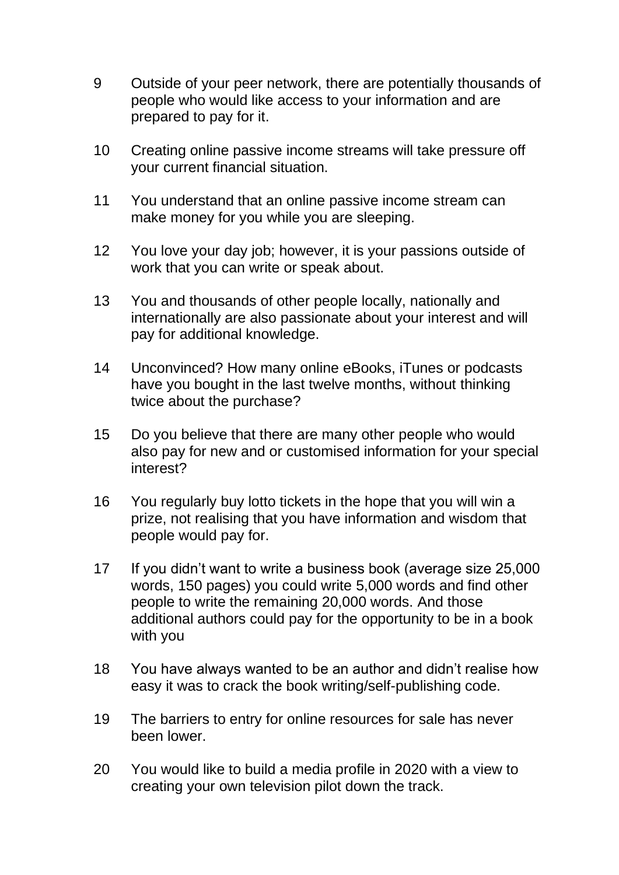- 9 Outside of your peer network, there are potentially thousands of people who would like access to your information and are prepared to pay for it.
- 10 Creating online passive income streams will take pressure off your current financial situation.
- 11 You understand that an online passive income stream can make money for you while you are sleeping.
- 12 You love your day job; however, it is your passions outside of work that you can write or speak about.
- 13 You and thousands of other people locally, nationally and internationally are also passionate about your interest and will pay for additional knowledge.
- 14 Unconvinced? How many online eBooks, iTunes or podcasts have you bought in the last twelve months, without thinking twice about the purchase?
- 15 Do you believe that there are many other people who would also pay for new and or customised information for your special interest?
- 16 You regularly buy lotto tickets in the hope that you will win a prize, not realising that you have information and wisdom that people would pay for.
- 17 If you didn't want to write a business book (average size 25,000 words, 150 pages) you could write 5,000 words and find other people to write the remaining 20,000 words. And those additional authors could pay for the opportunity to be in a book with you
- 18 You have always wanted to be an author and didn't realise how easy it was to crack the book writing/self-publishing code.
- 19 The barriers to entry for online resources for sale has never been lower.
- 20 You would like to build a media profile in 2020 with a view to creating your own television pilot down the track.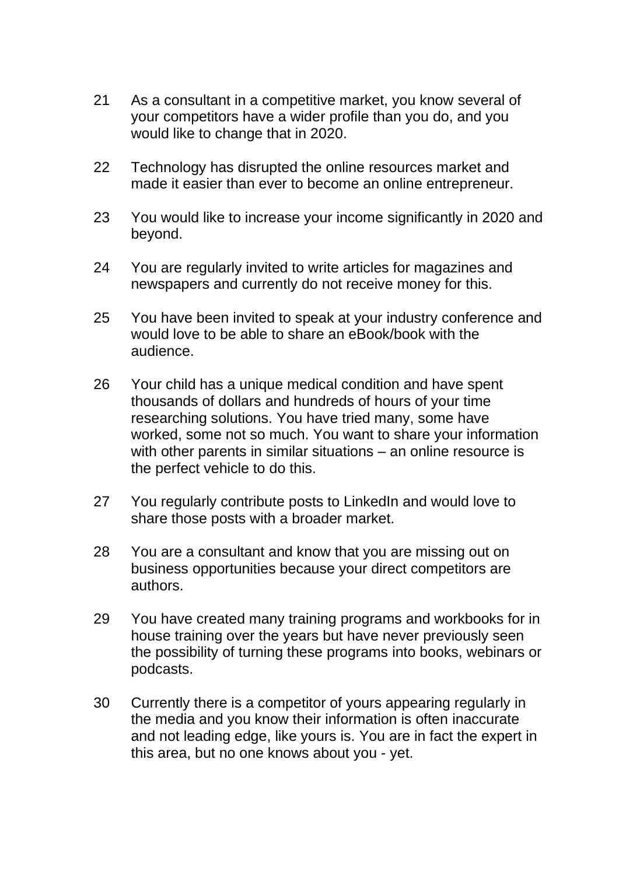- 21 As a consultant in a competitive market, you know several of your competitors have a wider profile than you do, and you would like to change that in 2020.
- 22 Technology has disrupted the online resources market and made it easier than ever to become an online entrepreneur.
- 23 You would like to increase your income significantly in 2020 and beyond.
- 24 You are regularly invited to write articles for magazines and newspapers and currently do not receive money for this.
- 25 You have been invited to speak at your industry conference and would love to be able to share an eBook/book with the audience.
- 26 Your child has a unique medical condition and have spent thousands of dollars and hundreds of hours of your time researching solutions. You have tried many, some have worked, some not so much. You want to share your information with other parents in similar situations – an online resource is the perfect vehicle to do this.
- 27 You regularly contribute posts to LinkedIn and would love to share those posts with a broader market.
- 28 You are a consultant and know that you are missing out on business opportunities because your direct competitors are authors.
- 29 You have created many training programs and workbooks for in house training over the years but have never previously seen the possibility of turning these programs into books, webinars or podcasts.
- 30 Currently there is a competitor of yours appearing regularly in the media and you know their information is often inaccurate and not leading edge, like yours is. You are in fact the expert in this area, but no one knows about you - yet.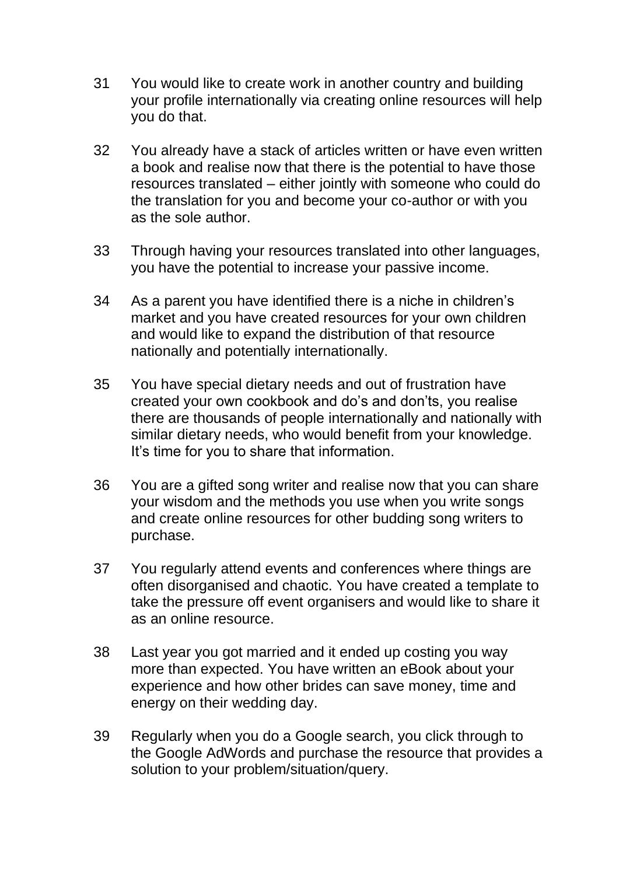- 31 You would like to create work in another country and building your profile internationally via creating online resources will help you do that.
- 32 You already have a stack of articles written or have even written a book and realise now that there is the potential to have those resources translated – either jointly with someone who could do the translation for you and become your co-author or with you as the sole author.
- 33 Through having your resources translated into other languages, you have the potential to increase your passive income.
- 34 As a parent you have identified there is a niche in children's market and you have created resources for your own children and would like to expand the distribution of that resource nationally and potentially internationally.
- 35 You have special dietary needs and out of frustration have created your own cookbook and do's and don'ts, you realise there are thousands of people internationally and nationally with similar dietary needs, who would benefit from your knowledge. It's time for you to share that information.
- 36 You are a gifted song writer and realise now that you can share your wisdom and the methods you use when you write songs and create online resources for other budding song writers to purchase.
- 37 You regularly attend events and conferences where things are often disorganised and chaotic. You have created a template to take the pressure off event organisers and would like to share it as an online resource.
- 38 Last year you got married and it ended up costing you way more than expected. You have written an eBook about your experience and how other brides can save money, time and energy on their wedding day.
- 39 Regularly when you do a Google search, you click through to the Google AdWords and purchase the resource that provides a solution to your problem/situation/query.